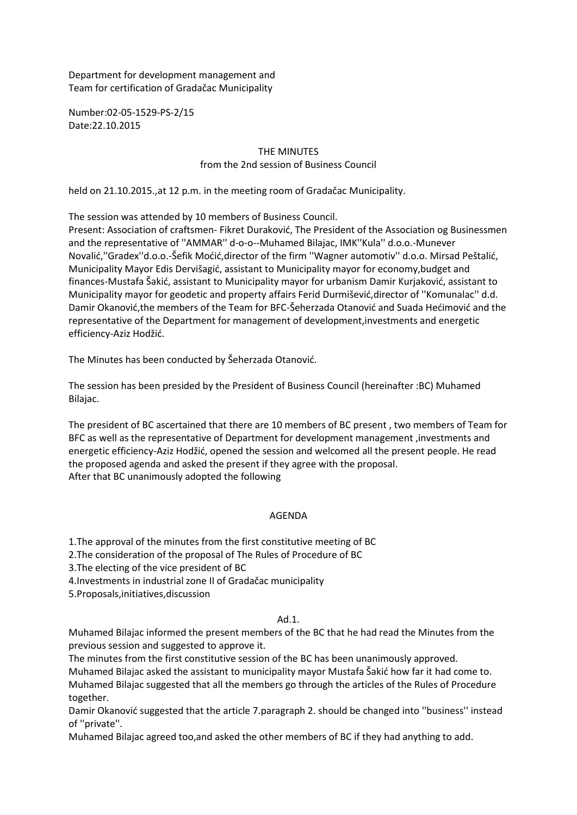Department for development management and Team for certification of Gradačac Municipality

Number:02-05-1529-PS-2/15 Date:22.10.2015

# THE MINUTES from the 2nd session of Business Council

held on 21.10.2015.,at 12 p.m. in the meeting room of Gradačac Municipality.

The session was attended by 10 members of Business Council.

Present: Association of craftsmen- Fikret Duraković, The President of the Association og Businessmen and the representative of ''AMMAR'' d-o-o--Muhamed Bilajac, IMK''Kula'' d.o.o.-Munever Novalić,''Gradex''d.o.o.-Šefik Moćić,director of the firm ''Wagner automotiv'' d.o.o. Mirsad Peštalić, Municipality Mayor Edis Dervišagić, assistant to Municipality mayor for economy,budget and finances-Mustafa Šakić, assistant to Municipality mayor for urbanism Damir Kurjaković, assistant to Municipality mayor for geodetic and property affairs Ferid Durmišević,director of ''Komunalac'' d.d. Damir Okanović,the members of the Team for BFC-Šeherzada Otanović and Suada Hećimović and the representative of the Department for management of development,investments and energetic efficiency-Aziz Hodžić.

The Minutes has been conducted by Šeherzada Otanović.

The session has been presided by the President of Business Council (hereinafter :BC) Muhamed Bilajac.

The president of BC ascertained that there are 10 members of BC present , two members of Team for BFC as well as the representative of Department for development management ,investments and energetic efficiency-Aziz Hodžić, opened the session and welcomed all the present people. He read the proposed agenda and asked the present if they agree with the proposal. After that BC unanimously adopted the following

#### AGENDA

1.The approval of the minutes from the first constitutive meeting of BC

2.The consideration of the proposal of The Rules of Procedure of BC

3.The electing of the vice president of BC

4.Investments in industrial zone II of Gradačac municipality

5.Proposals,initiatives,discussion

#### Ad.1.

Muhamed Bilajac informed the present members of the BC that he had read the Minutes from the previous session and suggested to approve it.

The minutes from the first constitutive session of the BC has been unanimously approved. Muhamed Bilajac asked the assistant to municipality mayor Mustafa Šakić how far it had come to. Muhamed Bilajac suggested that all the members go through the articles of the Rules of Procedure together.

Damir Okanović suggested that the article 7.paragraph 2. should be changed into ''business'' instead of ''private''.

Muhamed Bilajac agreed too,and asked the other members of BC if they had anything to add.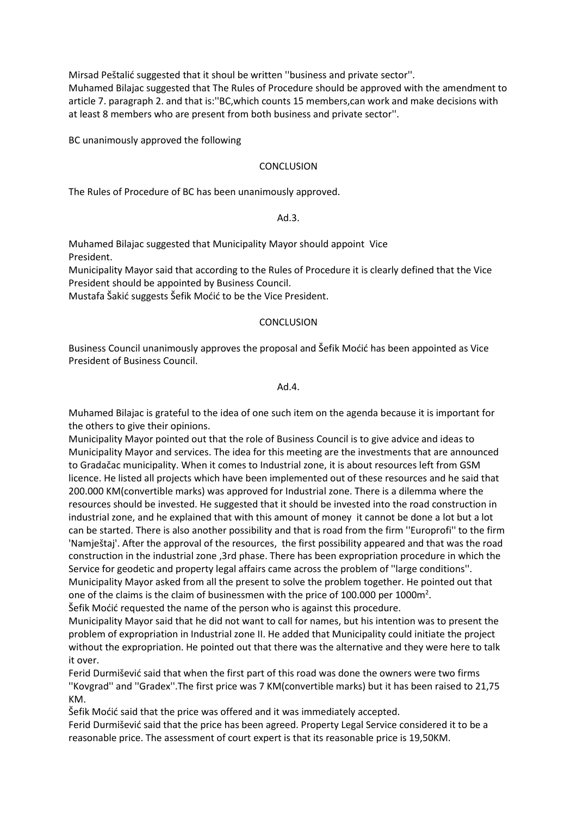Mirsad Peštalić suggested that it shoul be written ''business and private sector''. Muhamed Bilajac suggested that The Rules of Procedure should be approved with the amendment to article 7. paragraph 2. and that is:''BC,which counts 15 members,can work and make decisions with at least 8 members who are present from both business and private sector''.

BC unanimously approved the following

### **CONCLUSION**

The Rules of Procedure of BC has been unanimously approved.

#### Ad.3.

Muhamed Bilajac suggested that Municipality Mayor should appoint Vice President.

Municipality Mayor said that according to the Rules of Procedure it is clearly defined that the Vice President should be appointed by Business Council.

Mustafa Šakić suggests Šefik Moćić to be the Vice President.

#### **CONCLUSION**

Business Council unanimously approves the proposal and Šefik Moćić has been appointed as Vice President of Business Council.

### Ad.4.

Muhamed Bilajac is grateful to the idea of one such item on the agenda because it is important for the others to give their opinions.

Municipality Mayor pointed out that the role of Business Council is to give advice and ideas to Municipality Mayor and services. The idea for this meeting are the investments that are announced to Gradačac municipality. When it comes to Industrial zone, it is about resources left from GSM licence. He listed all projects which have been implemented out of these resources and he said that 200.000 KM(convertible marks) was approved for Industrial zone. There is a dilemma where the resources should be invested. He suggested that it should be invested into the road construction in industrial zone, and he explained that with this amount of money it cannot be done a lot but a lot can be started. There is also another possibility and that is road from the firm ''Europrofi'' to the firm 'Namještaj'. After the approval of the resources, the first possibility appeared and that was the road construction in the industrial zone ,3rd phase. There has been expropriation procedure in which the Service for geodetic and property legal affairs came across the problem of ''large conditions''. Municipality Mayor asked from all the present to solve the problem together. He pointed out that one of the claims is the claim of businessmen with the price of 100.000 per 1000 $m^2$ .

Šefik Moćić requested the name of the person who is against this procedure.

Municipality Mayor said that he did not want to call for names, but his intention was to present the problem of expropriation in Industrial zone II. He added that Municipality could initiate the project without the expropriation. He pointed out that there was the alternative and they were here to talk it over.

Ferid Durmišević said that when the first part of this road was done the owners were two firms ''Kovgrad'' and ''Gradex''.The first price was 7 KM(convertible marks) but it has been raised to 21,75 KM.

Šefik Moćić said that the price was offered and it was immediately accepted.

Ferid Durmišević said that the price has been agreed. Property Legal Service considered it to be a reasonable price. The assessment of court expert is that its reasonable price is 19,50KM.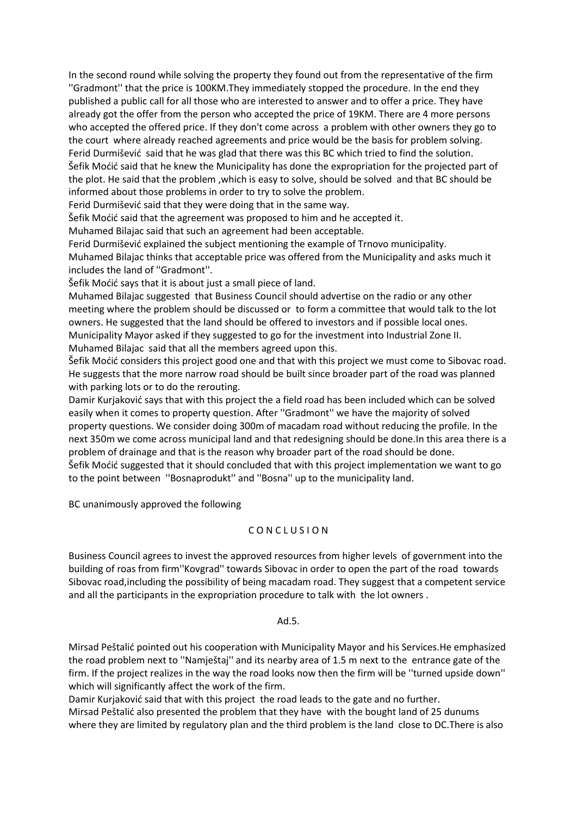In the second round while solving the property they found out from the representative of the firm ''Gradmont'' that the price is 100KM.They immediately stopped the procedure. In the end they published a public call for all those who are interested to answer and to offer a price. They have already got the offer from the person who accepted the price of 19KM. There are 4 more persons who accepted the offered price. If they don't come across a problem with other owners they go to the court where already reached agreements and price would be the basis for problem solving. Ferid Durmišević said that he was glad that there was this BC which tried to find the solution. Šefik Moćić said that he knew the Municipality has done the expropriation for the projected part of the plot. He said that the problem ,which is easy to solve, should be solved and that BC should be informed about those problems in order to try to solve the problem.

Ferid Durmišević said that they were doing that in the same way.

Šefik Moćić said that the agreement was proposed to him and he accepted it.

Muhamed Bilajac said that such an agreement had been acceptable.

Ferid Durmišević explained the subject mentioning the example of Trnovo municipality. Muhamed Bilajac thinks that acceptable price was offered from the Municipality and asks much it includes the land of ''Gradmont''.

Šefik Moćić says that it is about just a small piece of land.

Muhamed Bilajac suggested that Business Council should advertise on the radio or any other meeting where the problem should be discussed or to form a committee that would talk to the lot owners. He suggested that the land should be offered to investors and if possible local ones. Municipality Mayor asked if they suggested to go for the investment into Industrial Zone II. Muhamed Bilajac said that all the members agreed upon this.

Šefik Moćić considers this project good one and that with this project we must come to Sibovac road. He suggests that the more narrow road should be built since broader part of the road was planned with parking lots or to do the rerouting.

Damir Kurjaković says that with this project the a field road has been included which can be solved easily when it comes to property question. After ''Gradmont'' we have the majority of solved property questions. We consider doing 300m of macadam road without reducing the profile. In the next 350m we come across municipal land and that redesigning should be done.In this area there is a problem of drainage and that is the reason why broader part of the road should be done. Šefik Moćić suggested that it should concluded that with this project implementation we want to go to the point between ''Bosnaprodukt'' and ''Bosna'' up to the municipality land.

BC unanimously approved the following

# C O N C L U S I O N

Business Council agrees to invest the approved resources from higher levels of government into the building of roas from firm''Kovgrad'' towards Sibovac in order to open the part of the road towards Sibovac road,including the possibility of being macadam road. They suggest that a competent service and all the participants in the expropriation procedure to talk with the lot owners .

#### Ad.5.

Mirsad Peštalić pointed out his cooperation with Municipality Mayor and his Services.He emphasized the road problem next to ''Namještaj'' and its nearby area of 1.5 m next to the entrance gate of the firm. If the project realizes in the way the road looks now then the firm will be ''turned upside down'' which will significantly affect the work of the firm.

Damir Kurjaković said that with this project the road leads to the gate and no further. Mirsad Peštalić also presented the problem that they have with the bought land of 25 dunums where they are limited by regulatory plan and the third problem is the land close to DC.There is also